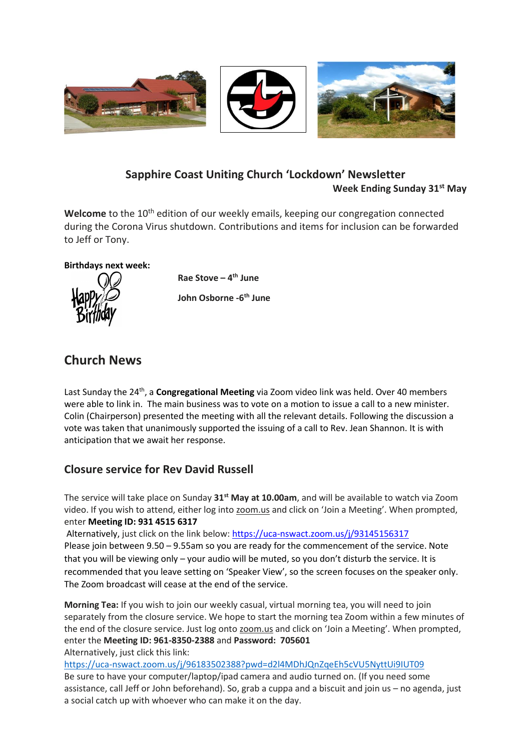

## **Sapphire Coast Uniting Church 'Lockdown' Newsletter Week Ending Sunday 31st May**

Welcome to the 10<sup>th</sup> edition of our weekly emails, keeping our congregation connected during the Corona Virus shutdown. Contributions and items for inclusion can be forwarded to Jeff or Tony.

## **Birthdays next week:**



**Rae Stove – 4 th June John Osborne -6 th June**

# **Church News**

Last Sunday the 24th, a **Congregational Meeting** via Zoom video link was held. Over 40 members were able to link in. The main business was to vote on a motion to issue a call to a new minister. Colin (Chairperson) presented the meeting with all the relevant details. Following the discussion a vote was taken that unanimously supported the issuing of a call to Rev. Jean Shannon. It is with anticipation that we await her response.

## **Closure service for Rev David Russell**

The service will take place on Sunday **31st May at 10.00am**, and will be available to watch via Zoom video. If you wish to attend, either log into zoom.us and click on 'Join a Meeting'. When prompted, enter **Meeting ID: 931 4515 6317**

Alternatively, just click on the link below: <https://uca-nswact.zoom.us/j/93145156317> Please join between 9.50 – 9.55am so you are ready for the commencement of the service. Note that you will be viewing only – your audio will be muted, so you don't disturb the service. It is recommended that you leave setting on 'Speaker View', so the screen focuses on the speaker only. The Zoom broadcast will cease at the end of the service.

**Morning Tea:** If you wish to join our weekly casual, virtual morning tea, you will need to join separately from the closure service. We hope to start the morning tea Zoom within a few minutes of the end of the closure service. Just log onto zoom.us and click on 'Join a Meeting'. When prompted, enter the **Meeting ID: 961-8350-2388** and **Password: 705601**  Alternatively, just click this link:

<https://uca-nswact.zoom.us/j/96183502388?pwd=d2l4MDhJQnZqeEh5cVU5NyttUi9IUT09> Be sure to have your computer/laptop/ipad camera and audio turned on. (If you need some assistance, call Jeff or John beforehand). So, grab a cuppa and a biscuit and join us – no agenda, just a social catch up with whoever who can make it on the day.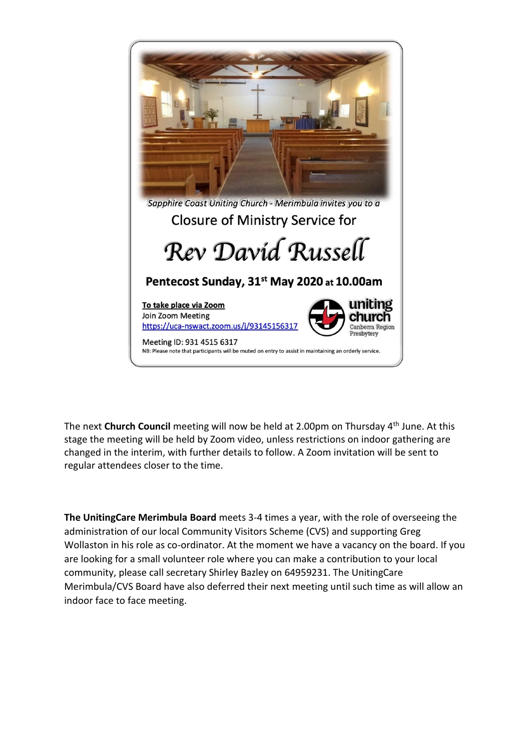

The next **Church Council** meeting will now be held at 2.00pm on Thursday 4<sup>th</sup> June. At this stage the meeting will be held by Zoom video, unless restrictions on indoor gathering are changed in the interim, with further details to follow. A Zoom invitation will be sent to regular attendees closer to the time.

**The UnitingCare Merimbula Board** meets 3-4 times a year, with the role of overseeing the administration of our local Community Visitors Scheme (CVS) and supporting Greg Wollaston in his role as co-ordinator. At the moment we have a vacancy on the board. If you are looking for a small volunteer role where you can make a contribution to your local community, please call secretary Shirley Bazley on 64959231. The UnitingCare Merimbula/CVS Board have also deferred their next meeting until such time as will allow an indoor face to face meeting.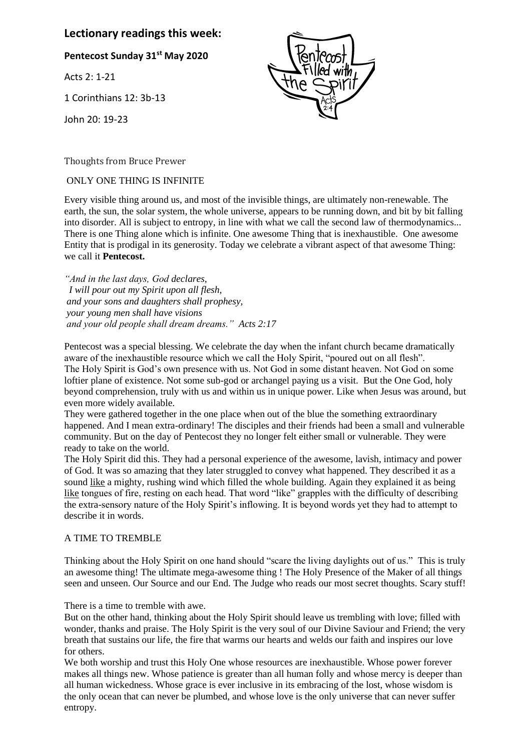## **Lectionary readings this week:**

**Pentecost Sunday 31st May 2020**

Acts 2: 1-21

1 Corinthians 12: 3b-13

John 20: 19-23

Thoughts from Bruce Prewer

ONLY ONE THING IS INFINITE

Every visible thing around us, and most of the invisible things, are ultimately non-renewable. The earth, the sun, the solar system, the whole universe, appears to be running down, and bit by bit falling into disorder. All is subject to entropy, in line with what we call the second law of thermodynamics... There is one Thing alone which is infinite. One awesome Thing that is inexhaustible. One awesome Entity that is prodigal in its generosity. Today we celebrate a vibrant aspect of that awesome Thing: we call it **Pentecost.**

*"And in the last days, God declares, I will pour out my Spirit upon all flesh, and your sons and daughters shall prophesy, your young men shall have visions and your old people shall dream dreams." Acts 2:17*

Pentecost was a special blessing. We celebrate the day when the infant church became dramatically aware of the inexhaustible resource which we call the Holy Spirit, "poured out on all flesh". The Holy Spirit is God's own presence with us. Not God in some distant heaven. Not God on some loftier plane of existence. Not some sub-god or archangel paying us a visit. But the One God, holy beyond comprehension, truly with us and within us in unique power. Like when Jesus was around, but even more widely available.

They were gathered together in the one place when out of the blue the something extraordinary happened. And I mean extra-ordinary! The disciples and their friends had been a small and vulnerable community. But on the day of Pentecost they no longer felt either small or vulnerable. They were ready to take on the world.

The Holy Spirit did this. They had a personal experience of the awesome, lavish, intimacy and power of God. It was so amazing that they later struggled to convey what happened. They described it as a sound like a mighty, rushing wind which filled the whole building. Again they explained it as being like tongues of fire, resting on each head. That word "like" grapples with the difficulty of describing the extra-sensory nature of the Holy Spirit's inflowing. It is beyond words yet they had to attempt to describe it in words.

#### A TIME TO TREMBLE

Thinking about the Holy Spirit on one hand should "scare the living daylights out of us." This is truly an awesome thing! The ultimate mega-awesome thing ! The Holy Presence of the Maker of all things seen and unseen. Our Source and our End. The Judge who reads our most secret thoughts. Scary stuff!

There is a time to tremble with awe.

But on the other hand, thinking about the Holy Spirit should leave us trembling with love; filled with wonder, thanks and praise. The Holy Spirit is the very soul of our Divine Saviour and Friend; the very breath that sustains our life, the fire that warms our hearts and welds our faith and inspires our love for others.

We both worship and trust this Holy One whose resources are inexhaustible. Whose power forever makes all things new. Whose patience is greater than all human folly and whose mercy is deeper than all human wickedness. Whose grace is ever inclusive in its embracing of the lost, whose wisdom is the only ocean that can never be plumbed, and whose love is the only universe that can never suffer entropy.

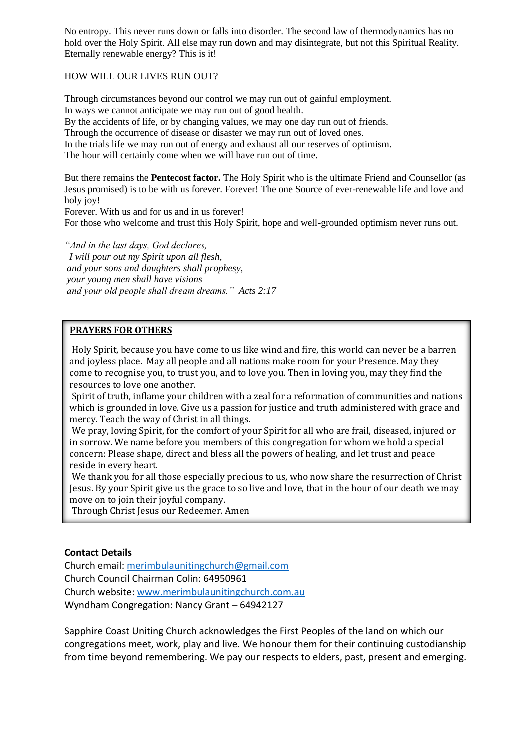No entropy. This never runs down or falls into disorder. The second law of thermodynamics has no hold over the Holy Spirit. All else may run down and may disintegrate, but not this Spiritual Reality. Eternally renewable energy? This is it!

#### HOW WILL OUR LIVES RUN OUT?

Through circumstances beyond our control we may run out of gainful employment. In ways we cannot anticipate we may run out of good health. By the accidents of life, or by changing values, we may one day run out of friends. Through the occurrence of disease or disaster we may run out of loved ones. In the trials life we may run out of energy and exhaust all our reserves of optimism. The hour will certainly come when we will have run out of time.

But there remains the **Pentecost factor.** The Holy Spirit who is the ultimate Friend and Counsellor (as Jesus promised) is to be with us forever. Forever! The one Source of ever-renewable life and love and holy joy!

Forever. With us and for us and in us forever! For those who welcome and trust this Holy Spirit, hope and well-grounded optimism never runs out.

*"And in the last days, God declares, I will pour out my Spirit upon all flesh, and your sons and daughters shall prophesy, your young men shall have visions and your old people shall dream dreams." Acts 2:17*

#### **PRAYERS FOR OTHERS**

Holy Spirit, because you have come to us like wind and fire, this world can never be a barren and joyless place. May all people and all nations make room for your Presence. May they come to recognise you, to trust you, and to love you. Then in loving you, may they find the resources to love one another.

Spirit of truth, inflame your children with a zeal for a reformation of communities and nations which is grounded in love. Give us a passion for justice and truth administered with grace and mercy. Teach the way of Christ in all things.

We pray, loving Spirit, for the comfort of your Spirit for all who are frail, diseased, injured or in sorrow. We name before you members of this congregation for whom we hold a special concern: Please shape, direct and bless all the powers of healing, and let trust and peace reside in every heart.

We thank you for all those especially precious to us, who now share the resurrection of Christ Jesus. By your Spirit give us the grace to so live and love, that in the hour of our death we may move on to join their joyful company.

**Ed** Through Christ Jesus our Redeemer. Amen

#### **Contact Details**

Church email: [merimbulaunitingchurch@gmail.com](mailto:merimbulaunitingchurch@gmail.com) Church Council Chairman Colin: 64950961 Church website: [www.merimbulaunitingchurch.com.au](http://www.merimbulaunitingchurch.com.au/) Wyndham Congregation: Nancy Grant – 64942127

Sapphire Coast Uniting Church acknowledges the First Peoples of the land on which our congregations meet, work, play and live. We honour them for their continuing custodianship from time beyond remembering. We pay our respects to elders, past, present and emerging.